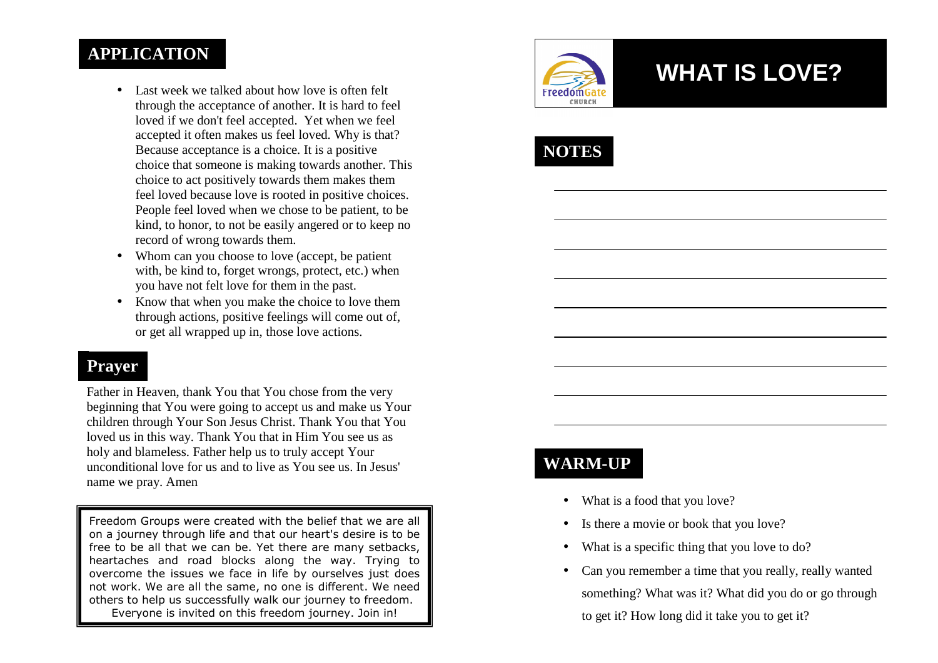### **APPLICATION**

- Last week we talked about how love is often felt through the acceptance of another. It is hard to feel loved if we don't feel accepted. Yet when we feel accepted it often makes us feel loved. Why is that?Because acceptance is a choice. It is a positive choice that someone is making towards another. Thischoice to act positively towards them makes them feel loved because love is rooted in positive choices. People feel loved when we chose to be patient, to be kind, to honor, to not be easily angered or to keep no record of wrong towards them.
- Whom can you choose to love (accept, be patient with, be kind to, forget wrongs, protect, etc.) when you have not felt love for them in the past.
- Know that when you make the choice to love them through actions, positive feelings will come out of, or get all wrapped up in, those love actions.

### **Prayer**

Father in Heaven, thank You that You chose from the very beginning that You were going to accept us and make us Your children through Your Son Jesus Christ. Thank You that You loved us in this way. Thank You that in Him You see us as holy and blameless. Father help us to truly accept Your unconditional love for us and to live as You see us. In Jesus' name we pray. Amen

Freedom Groups were created with the belief that we are all on a journey through life and that our heart's desire is to be free to be all that we can be. Yet there are many setbacks, heartaches and road blocks along the way. Trying to overcome the issues we face in life by ourselves just does not work. We are all the same, no one is different. We need others to help us successfully walk our journey to freedom. Everyone is invited on this freedom journey. Join in!



# **WHAT IS LOVE?**



### **WARM-UP**

- What is a food that you love?
- Is there a movie or book that you love?
- $\bullet$ What is a specific thing that you love to do?
- Can you remember a time that you really, really wanted something? What was it? What did you do or go through to get it? How long did it take you to get it?